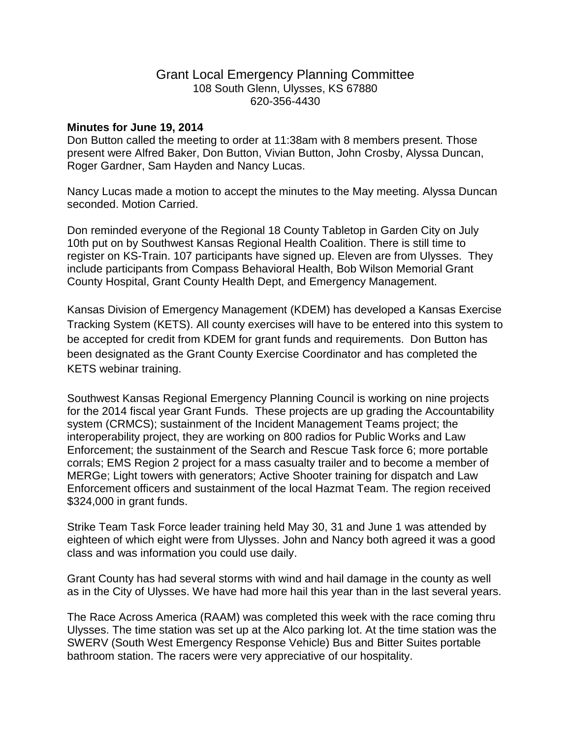## Grant Local Emergency Planning Committee 108 South Glenn, Ulysses, KS 67880 620-356-4430

## **Minutes for June 19, 2014**

Don Button called the meeting to order at 11:38am with 8 members present. Those present were Alfred Baker, Don Button, Vivian Button, John Crosby, Alyssa Duncan, Roger Gardner, Sam Hayden and Nancy Lucas.

Nancy Lucas made a motion to accept the minutes to the May meeting. Alyssa Duncan seconded. Motion Carried.

Don reminded everyone of the Regional 18 County Tabletop in Garden City on July 10th put on by Southwest Kansas Regional Health Coalition. There is still time to register on KS-Train. 107 participants have signed up. Eleven are from Ulysses. They include participants from Compass Behavioral Health, Bob Wilson Memorial Grant County Hospital, Grant County Health Dept, and Emergency Management.

Kansas Division of Emergency Management (KDEM) has developed a Kansas Exercise Tracking System (KETS). All county exercises will have to be entered into this system to be accepted for credit from KDEM for grant funds and requirements. Don Button has been designated as the Grant County Exercise Coordinator and has completed the KETS webinar training.

Southwest Kansas Regional Emergency Planning Council is working on nine projects for the 2014 fiscal year Grant Funds. These projects are up grading the Accountability system (CRMCS); sustainment of the Incident Management Teams project; the interoperability project, they are working on 800 radios for Public Works and Law Enforcement; the sustainment of the Search and Rescue Task force 6; more portable corrals; EMS Region 2 project for a mass casualty trailer and to become a member of MERGe; Light towers with generators; Active Shooter training for dispatch and Law Enforcement officers and sustainment of the local Hazmat Team. The region received \$324,000 in grant funds.

Strike Team Task Force leader training held May 30, 31 and June 1 was attended by eighteen of which eight were from Ulysses. John and Nancy both agreed it was a good class and was information you could use daily.

Grant County has had several storms with wind and hail damage in the county as well as in the City of Ulysses. We have had more hail this year than in the last several years.

The Race Across America (RAAM) was completed this week with the race coming thru Ulysses. The time station was set up at the Alco parking lot. At the time station was the SWERV (South West Emergency Response Vehicle) Bus and Bitter Suites portable bathroom station. The racers were very appreciative of our hospitality.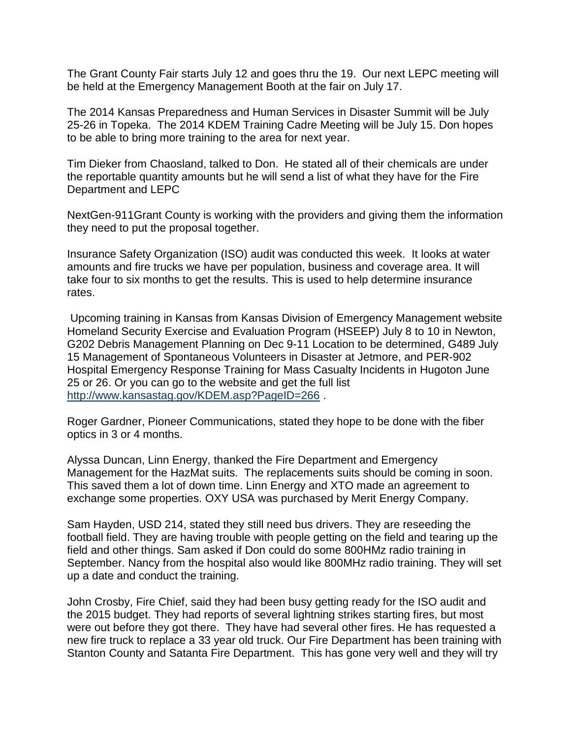The Grant County Fair starts July 12 and goes thru the 19. Our next LEPC meeting will be held at the Emergency Management Booth at the fair on July 17.

The 2014 Kansas Preparedness and Human Services in Disaster Summit will be July 25-26 in Topeka. The 2014 KDEM Training Cadre Meeting will be July 15. Don hopes to be able to bring more training to the area for next year.

Tim Dieker from Chaosland, talked to Don. He stated all of their chemicals are under the reportable quantity amounts but he will send a list of what they have for the Fire Department and LEPC

NextGen-911Grant County is working with the providers and giving them the information they need to put the proposal together.

Insurance Safety Organization (ISO) audit was conducted this week. It looks at water amounts and fire trucks we have per population, business and coverage area. It will take four to six months to get the results. This is used to help determine insurance rates.

Upcoming training in Kansas from Kansas Division of Emergency Management website Homeland Security Exercise and Evaluation Program (HSEEP) July 8 to 10 in Newton, G202 Debris Management Planning on Dec 9-11 Location to be determined, G489 July 15 Management of Spontaneous Volunteers in Disaster at Jetmore, and PER-902 Hospital Emergency Response Training for Mass Casualty Incidents in Hugoton June 25 or 26. Or you can go to the website and get the full list <http://www.kansastag.gov/KDEM.asp?PageID=266>.

Roger Gardner, Pioneer Communications, stated they hope to be done with the fiber optics in 3 or 4 months.

Alyssa Duncan, Linn Energy, thanked the Fire Department and Emergency Management for the HazMat suits. The replacements suits should be coming in soon. This saved them a lot of down time. Linn Energy and XTO made an agreement to exchange some properties. OXY USA was purchased by Merit Energy Company.

Sam Hayden, USD 214, stated they still need bus drivers. They are reseeding the football field. They are having trouble with people getting on the field and tearing up the field and other things. Sam asked if Don could do some 800HMz radio training in September. Nancy from the hospital also would like 800MHz radio training. They will set up a date and conduct the training.

John Crosby, Fire Chief, said they had been busy getting ready for the ISO audit and the 2015 budget. They had reports of several lightning strikes starting fires, but most were out before they got there. They have had several other fires. He has requested a new fire truck to replace a 33 year old truck. Our Fire Department has been training with Stanton County and Satanta Fire Department. This has gone very well and they will try